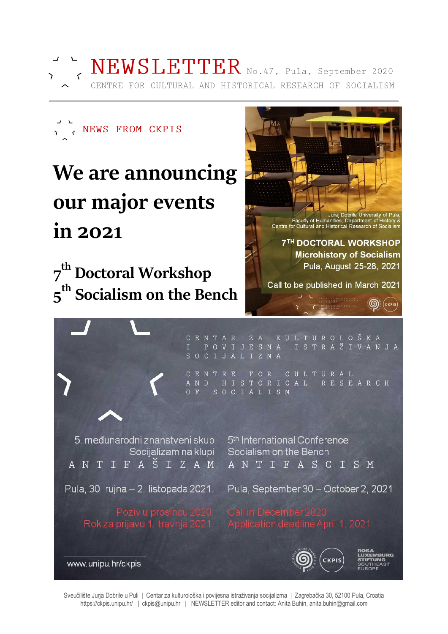

NEWSLETTER No. 47, Pula, September 2020 CENTRE FOR CULTURAL AND HISTORICAL RESEARCH OF SOCIALISM



# We are announcing our major events in 2021

7<sup>th</sup> Doctoral Workshop 5<sup>th</sup> Socialism on the Bench



CENTAR ZA K<br>I POVIJESNA<br>SOCIJALIZMA KULTUROLOŠKA ISTRAŽIVANJA CENTRE FOR CULTURAL AND HISTORICAL **RESEARCH**  $O$  F SOCIALISM

5. međunarodni znanstveni skup Socijalizam na klupi A N T I F A Š I Z A M

5<sup>th</sup> International Conference Socialism on the Bench ANTIFASCISM

Pula, 30. rujna – 2. listopada 2021.

Pula, September 30 - October 2, 2021

Rokza prijavu 1. travnja 2021.



**DRUPC** 

www.unipu.hr/ckpis

Sveučilište Jurja Dobrile u Puli | Centar za kulturološka i povijesna istraživanja socijalizma | Zagrebačka 30, 52100 Pula, Croatia https://ckpis.unipu.hr/ | ckpis@unipu.hr | NEWSLETTER editor and contact: Anita Buhin, anita.buhin@gmail.com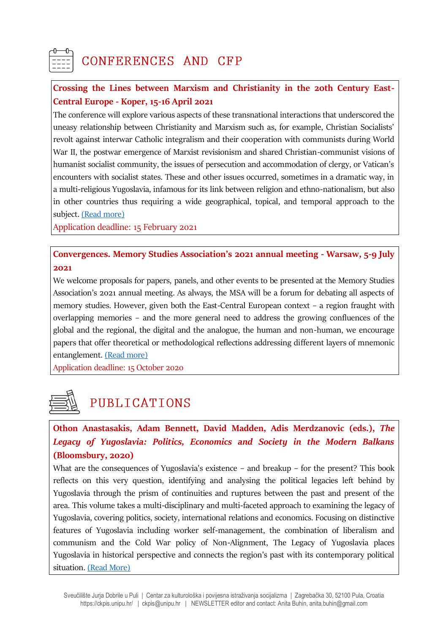### CONFERENCES AND CFP

#### **Crossing the Lines between Marxism and Christianity in the 20th Century East-Central Europe - Koper, 15-16 April 2021**

The conference will explore various aspects of these transnational interactions that underscored the uneasy relationship between Christianity and Marxism such as, for example, Christian Socialists' revolt against interwar Catholic integralism and their cooperation with communists during World War II, the postwar emergence of Marxist revisionism and shared Christian-communist visions of humanist socialist community, the issues of persecution and accommodation of clergy, or Vatican's encounters with socialist states. These and other issues occurred, sometimes in a dramatic way, in a multi-religious Yugoslavia, infamous for its link between religion and ethno-nationalism, but also in other countries thus requiring a wide geographical, topical, and temporal approach to the subject. [\(Read more\)](https://www.hsozkult.de/event/id/event-93275)

Application deadline: 15 February 2021

**Convergences. Memory Studies Association's 2021 annual meeting - Warsaw, 5-9 July 2021**

We welcome proposals for papers, panels, and other events to be presented at the Memory Studies Association's 2021 annual meeting. As always, the MSA will be a forum for debating all aspects of memory studies. However, given both the East-Central European context – a region fraught with overlapping memories – and the more general need to address the growing confluences of the global and the regional, the digital and the analogue, the human and non-human, we encourage papers that offer theoretical or methodological reflections addressing different layers of mnemonic entanglement. [\(Read more\)](https://www.memorystudiesassociation.org/warsaw-conference-2021-cfp/)

Application deadline: 15 October 2020

## PUBLICATIONS

**Othon Anastasakis, Adam Bennett, David Madden, Adis Merdzanovic (eds.),** *The Legacy of Yugoslavia: Politics, Economics and Society in the Modern Balkans* **(Bloomsbury, 2020)**

What are the consequences of Yugoslavia's existence – and breakup – for the present? This book reflects on this very question, identifying and analysing the political legacies left behind by Yugoslavia through the prism of continuities and ruptures between the past and present of the area. This volume takes a multi-disciplinary and multi-faceted approach to examining the legacy of Yugoslavia, covering politics, society, international relations and economics. Focusing on distinctive features of Yugoslavia including worker self-management, the combination of liberalism and communism and the Cold War policy of Non-Alignment, The Legacy of Yugoslavia places Yugoslavia in historical perspective and connects the region's past with its contemporary political situation. [\(Read More\)](https://www.bloomsbury.com/uk/the-legacy-of-yugoslavia-9781788317962/)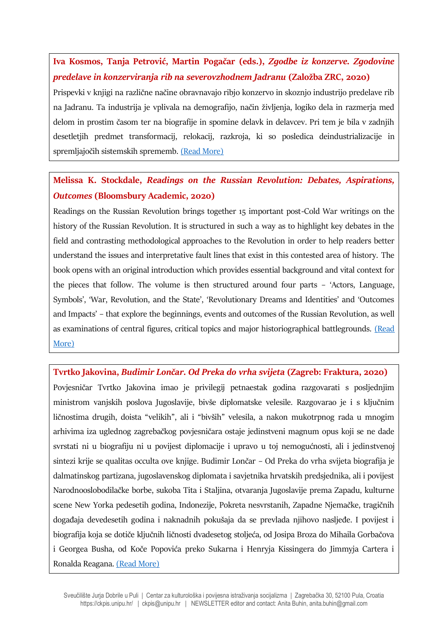#### **Iva Kosmos, Tanja Petrović, Martin Pogačar (eds.),** *Zgodbe iz konzerve. Zgodovine predelave in konzerviranja rib na severovzhodnem Jadranu* **(Založba ZRC, 2020)**

Prispevki v knjigi na različne načine obravnavajo ribjo konzervo in skoznjo industrijo predelave rib na Jadranu. Ta industrija je vplivala na demografijo, način življenja, logiko dela in razmerja med delom in prostim časom ter na biografije in spomine delavk in delavcev. Pri tem je bila v zadnjih desetletjih predmet transformacij, relokacij, razkroja, ki so posledica deindustrializacije in spremljajočih sistemskih sprememb. [\(Read More\)](https://ikss.zrc-sazu.si/sl/publikacije/zgodbe-iz-konzerve#v)

### **Melissa K. Stockdale,** *Readings on the Russian Revolution: Debates, Aspirations, Outcomes* **(Bloomsbury Academic, 2020)**

Readings on the Russian Revolution brings together 15 important post-Cold War writings on the history of the Russian Revolution. It is structured in such a way as to highlight key debates in the field and contrasting methodological approaches to the Revolution in order to help readers better understand the issues and interpretative fault lines that exist in this contested area of history. The book opens with an original introduction which provides essential background and vital context for the pieces that follow. The volume is then structured around four parts – 'Actors, Language, Symbols', 'War, Revolution, and the State', 'Revolutionary Dreams and Identities' and 'Outcomes and Impacts' – that explore the beginnings, events and outcomes of the Russian Revolution, as well as examinations of central figures, critical topics and major historiographical battlegrounds. [\(Read](https://www.bloomsbury.com/uk/readings-on-the-russian-revolution-9781350037427/)  [More\)](https://www.bloomsbury.com/uk/readings-on-the-russian-revolution-9781350037427/)

**Tvrtko Jakovina,** *Budimir Lončar. Od Preka do vrha svijeta* **(Zagreb: Fraktura, 2020)** Povjesničar Tvrtko Jakovina imao je privilegij petnaestak godina razgovarati s posljednjim ministrom vanjskih poslova Jugoslavije, bivše diplomatske velesile. Razgovarao je i s ključnim ličnostima drugih, doista "velikih", ali i "bivših" velesila, a nakon mukotrpnog rada u mnogim arhivima iza uglednog zagrebačkog povjesničara ostaje jedinstveni magnum opus koji se ne dade svrstati ni u biografiju ni u povijest diplomacije i upravo u toj nemogućnosti, ali i jedinstvenoj sintezi krije se qualitas occulta ove knjige. Budimir Lončar – Od Preka do vrha svijeta biografija je dalmatinskog partizana, jugoslavenskog diplomata i savjetnika hrvatskih predsjednika, ali i povijest Narodnooslobodilačke borbe, sukoba Tita i Staljina, otvaranja Jugoslavije prema Zapadu, kulturne scene New Yorka pedesetih godina, Indonezije, Pokreta nesvrstanih, Zapadne Njemačke, tragičnih događaja devedesetih godina i naknadnih pokušaja da se prevlada njihovo nasljeđe. I povijest i biografija koja se dotiče ključnih ličnosti dvadesetog stoljeća, od Josipa Broza do Mihaila Gorbačova i Georgea Busha, od Koče Popovića preko Sukarna i Henryja Kissingera do Jimmyja Cartera i Ronalda Reagana. [\(Read More\)](https://fraktura.hr/budimir-loncar.html)